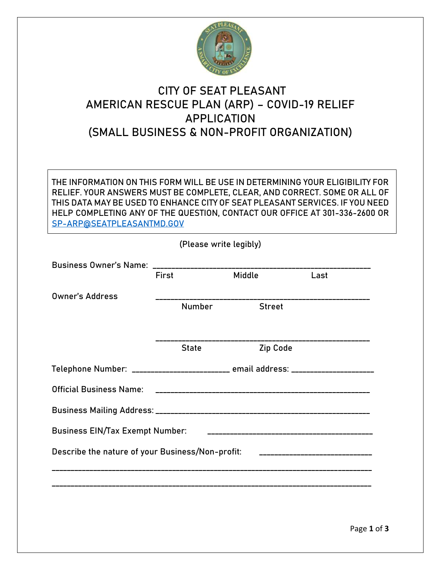

## **CITY OF SEAT PLEASANT AMERICAN RESCUE PLAN (ARP) – COVID-19 RELIEF APPLICATION (SMALL BUSINESS & NON-PROFIT ORGANIZATION)**

THE INFORMATION ON THIS FORM WILL BE USE IN DETERMINING YOUR ELIGIBILITY FOR RELIEF. YOUR ANSWERS MUST BE COMPLETE, CLEAR, AND CORRECT. SOME OR ALL OF THIS DATA MAY BE USED TO ENHANCE CITY OF SEAT PLEASANT SERVICES. IF YOU NEED HELP COMPLETING ANY OF THE QUESTION, CONTACT OUR OFFICE AT 301-336-2600 OR [SP-ARP@SEATPLEASANTMD.GOV](mailto:SP-ARP@SEATPLEASANTMD.GOV)

| (Please write legibly)                                                               |                                                                                  |               |               |      |  |  |  |  |  |
|--------------------------------------------------------------------------------------|----------------------------------------------------------------------------------|---------------|---------------|------|--|--|--|--|--|
|                                                                                      |                                                                                  |               |               |      |  |  |  |  |  |
|                                                                                      | <b>First</b>                                                                     |               | Middle        | Last |  |  |  |  |  |
| <b>Owner's Address</b>                                                               |                                                                                  | <b>Number</b> | <b>Street</b> |      |  |  |  |  |  |
|                                                                                      |                                                                                  |               |               |      |  |  |  |  |  |
|                                                                                      |                                                                                  |               |               |      |  |  |  |  |  |
|                                                                                      |                                                                                  | <b>State</b>  | Zip Code      |      |  |  |  |  |  |
|                                                                                      | Telephone Number: ________________________ email address: ______________________ |               |               |      |  |  |  |  |  |
| <b>Official Business Name:</b>                                                       |                                                                                  |               |               |      |  |  |  |  |  |
|                                                                                      |                                                                                  |               |               |      |  |  |  |  |  |
| <b>Business EIN/Tax Exempt Number:</b>                                               |                                                                                  |               |               |      |  |  |  |  |  |
| Describe the nature of your Business/Non-profit:<br>________________________________ |                                                                                  |               |               |      |  |  |  |  |  |
|                                                                                      |                                                                                  |               |               |      |  |  |  |  |  |
|                                                                                      |                                                                                  |               |               |      |  |  |  |  |  |
|                                                                                      |                                                                                  |               |               |      |  |  |  |  |  |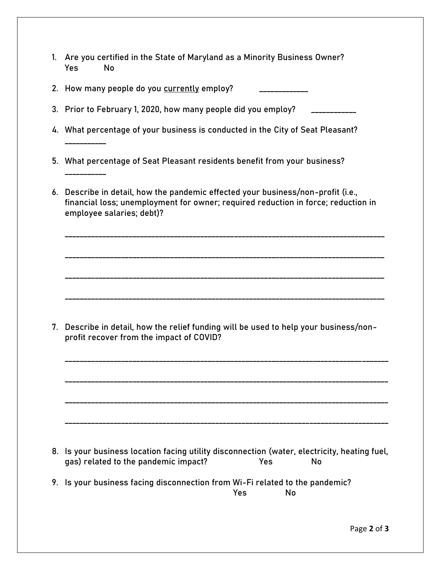| 1. | Are you certified in the State of Maryland as a Minority Business Owner?<br>Yes<br><b>No</b>                                                                                                       |
|----|----------------------------------------------------------------------------------------------------------------------------------------------------------------------------------------------------|
|    | 2. How many people do you currently employ?                                                                                                                                                        |
|    | 3. Prior to February 1, 2020, how many people did you employ?                                                                                                                                      |
|    | 4. What percentage of your business is conducted in the City of Seat Pleasant?                                                                                                                     |
|    | 5. What percentage of Seat Pleasant residents benefit from your business?                                                                                                                          |
|    | 6. Describe in detail, how the pandemic effected your business/non-profit (i.e.,<br>financial loss; unemployment for owner; required reduction in force; reduction in<br>employee salaries; debt)? |
|    |                                                                                                                                                                                                    |
| 7. | Describe in detail, how the relief funding will be used to help your business/non-<br>profit recover from the impact of COVID?                                                                     |
|    |                                                                                                                                                                                                    |
| 8. | Is your business location facing utility disconnection (water, electricity, heating fuel,<br>gas) related to the pandemic impact?<br>Yes<br>No                                                     |
| 9. | Is your business facing disconnection from Wi-Fi related to the pandemic?<br>Yes<br>No                                                                                                             |
|    | Page 2 of 3                                                                                                                                                                                        |